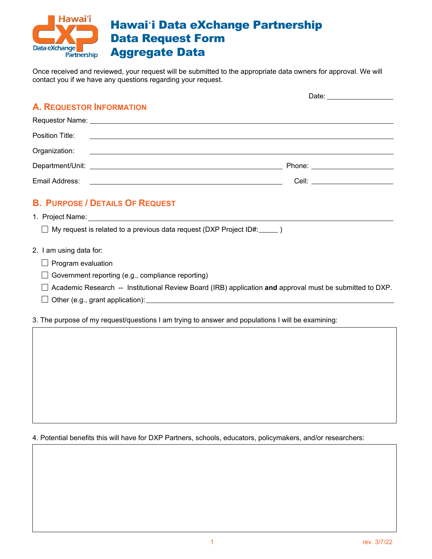

Once received and reviewed, your request will be submitted to the appropriate data owners for approval. We will contact you if we have any questions regarding your request.

|                                                                                    | Date: ____________________       |
|------------------------------------------------------------------------------------|----------------------------------|
| <b>A. REQUESTOR INFORMATION</b>                                                    |                                  |
|                                                                                    |                                  |
|                                                                                    |                                  |
|                                                                                    |                                  |
|                                                                                    | Phone: _________________________ |
|                                                                                    | Cell: _________________________  |
| <b>B. PURPOSE / DETAILS OF REQUEST</b>                                             |                                  |
| $\Box$ My request is related to a previous data request (DXP Project ID#: $\Box$ ) |                                  |
| 2. I am using data for:                                                            |                                  |
| $\Box$ Program evaluation                                                          |                                  |
| $\Box$ Government reporting (e.g., compliance reporting)                           |                                  |
|                                                                                    |                                  |

- Academic Research -- Institutional Review Board (IRB) application **and** approval must be submitted to DXP.
- $\Box$  Other (e.g., grant application):

3. The purpose of my request/questions I am trying to answer and populations I will be examining:

4. Potential benefits this will have for DXP Partners, schools, educators, policymakers, and/or researchers: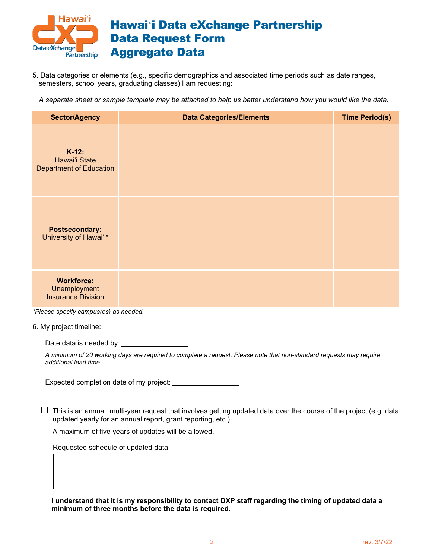

5. Data categories or elements (e.g., specific demographics and associated time periods such as date ranges, semesters, school years, graduating classes) I am requesting:

*A separate sheet or sample template may be attached to help us better understand how you would like the data.*

| <b>Sector/Agency</b>                                           | <b>Data Categories/Elements</b> | <b>Time Period(s)</b> |
|----------------------------------------------------------------|---------------------------------|-----------------------|
| $K-12$ :<br>Hawai'i State<br><b>Department of Education</b>    |                                 |                       |
| <b>Postsecondary:</b><br>University of Hawai'i*                |                                 |                       |
| <b>Workforce:</b><br>Unemployment<br><b>Insurance Division</b> |                                 |                       |

*\*Please specify campus(es) as needed.*

6. My project timeline:

Date data is needed by:

*A minimum of 20 working days are required to complete a request. Please note that non-standard requests may require additional lead time.* 

Expected completion date of my project:

 $\Box$  This is an annual, multi-year request that involves getting updated data over the course of the project (e.g, data updated yearly for an annual report, grant reporting, etc.).

A maximum of five years of updates will be allowed.

Requested schedule of updated data:

**I understand that it is my responsibility to contact DXP staff regarding the timing of updated data a minimum of three months before the data is required.**